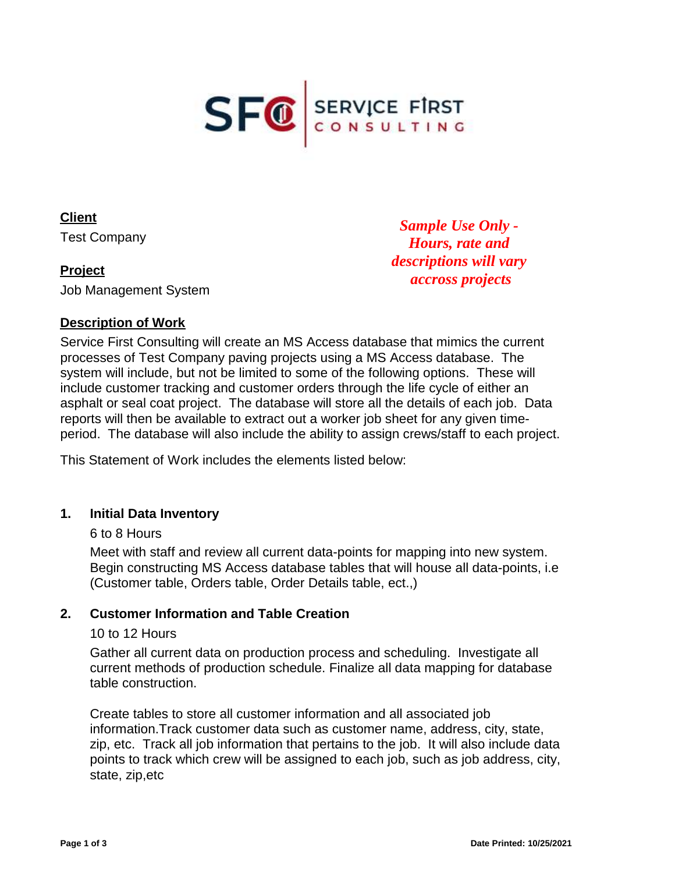

**Client** Test Company

# **Project**

Job Management System

*Sample Use Only - Hours, rate and descriptions will vary accross projects*

### **Description of Work**

Service First Consulting will create an MS Access database that mimics the current processes of Test Company paving projects using a MS Access database. The system will include, but not be limited to some of the following options. These will include customer tracking and customer orders through the life cycle of either an asphalt or seal coat project. The database will store all the details of each job. Data reports will then be available to extract out a worker job sheet for any given timeperiod. The database will also include the ability to assign crews/staff to each project.

This Statement of Work includes the elements listed below:

### **1. Initial Data Inventory**

#### 6 to 8 Hours

Meet with staff and review all current data-points for mapping into new system. Begin constructing MS Access database tables that will house all data-points, i.e (Customer table, Orders table, Order Details table, ect.,)

### **2. Customer Information and Table Creation**

#### 10 to 12 Hours

Gather all current data on production process and scheduling. Investigate all current methods of production schedule. Finalize all data mapping for database table construction.

Create tables to store all customer information and all associated job information.Track customer data such as customer name, address, city, state, zip, etc. Track all job information that pertains to the job. It will also include data points to track which crew will be assigned to each job, such as job address, city, state, zip,etc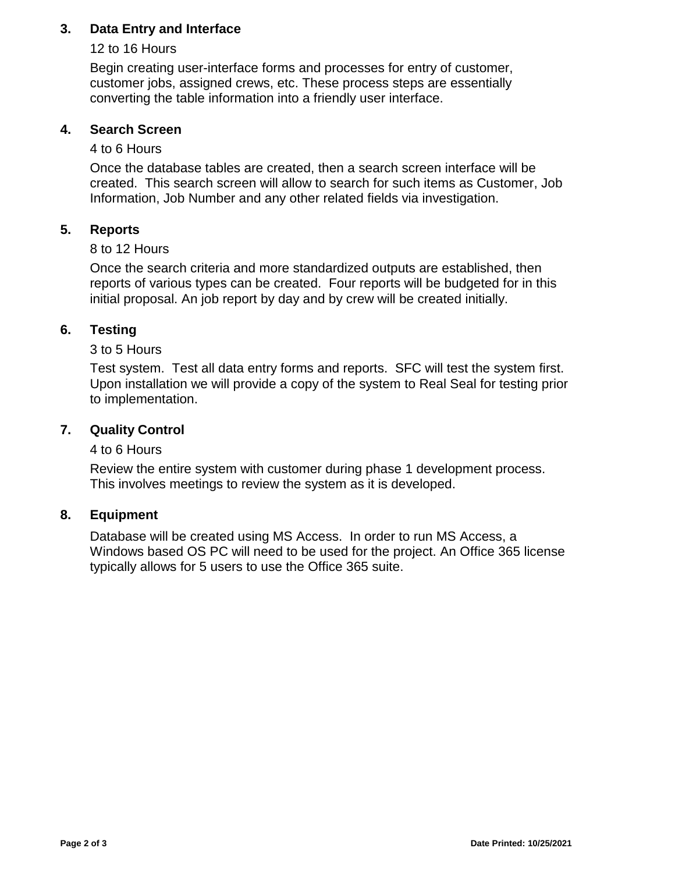# **3. Data Entry and Interface**

# 12 to 16 Hours

Begin creating user-interface forms and processes for entry of customer, customer jobs, assigned crews, etc. These process steps are essentially converting the table information into a friendly user interface.

# **4. Search Screen**

# 4 to 6 Hours

Once the database tables are created, then a search screen interface will be created. This search screen will allow to search for such items as Customer, Job Information, Job Number and any other related fields via investigation.

# **5. Reports**

# 8 to 12 Hours

Once the search criteria and more standardized outputs are established, then reports of various types can be created. Four reports will be budgeted for in this initial proposal. An job report by day and by crew will be created initially.

# **6. Testing**

### 3 to 5 Hours

Test system. Test all data entry forms and reports. SFC will test the system first. Upon installation we will provide a copy of the system to Real Seal for testing prior to implementation.

## **7. Quality Control**

# 4 to 6 Hours

Review the entire system with customer during phase 1 development process. This involves meetings to review the system as it is developed.

### **8. Equipment**

Database will be created using MS Access. In order to run MS Access, a Windows based OS PC will need to be used for the project. An Office 365 license typically allows for 5 users to use the Office 365 suite.